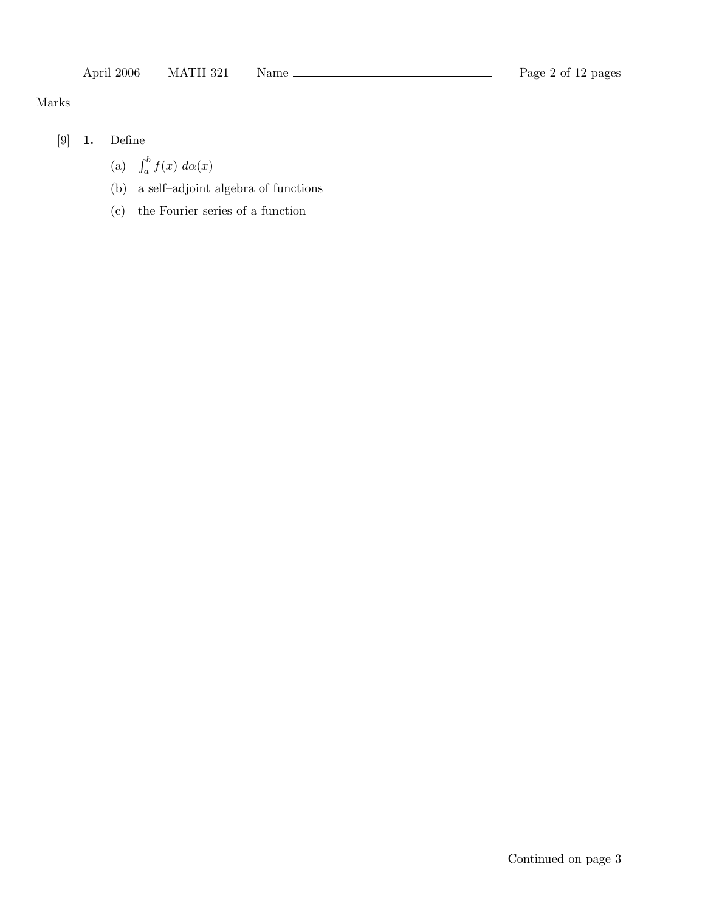# Marks

- [9] 1. Define
	- (a)  $\int_a^b f(x) d\alpha(x)$
	- (b) a self–adjoint algebra of functions
	- (c) the Fourier series of a function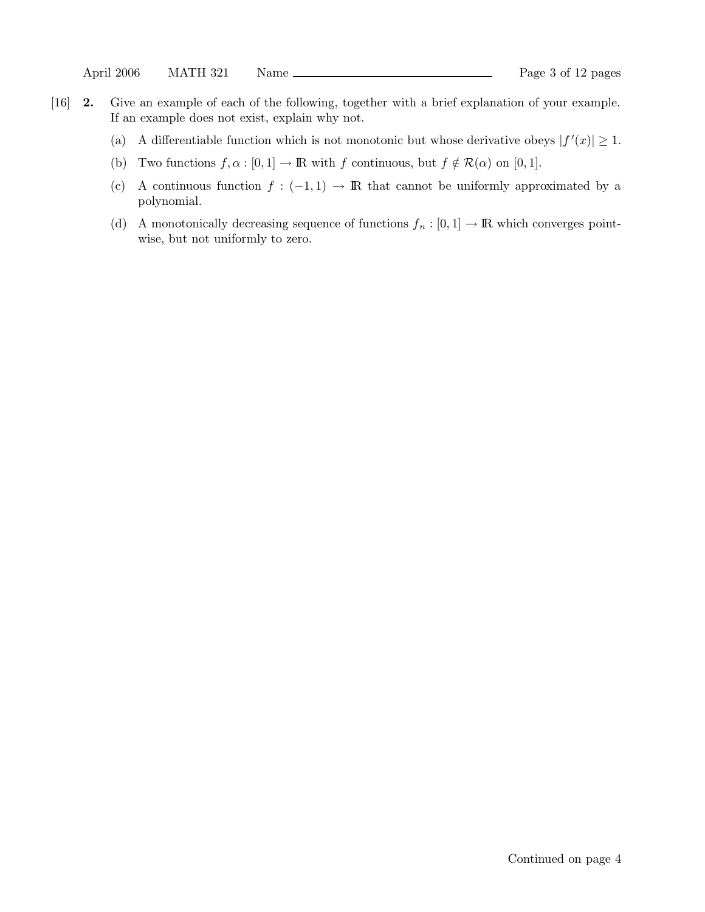- [16] 2. Give an example of each of the following, together with a brief explanation of your example. If an example does not exist, explain why not.
	- (a) A differentiable function which is not monotonic but whose derivative obeys  $|f'(x)| \geq 1$ .
	- (b) Two functions  $f, \alpha : [0, 1] \to \mathbb{R}$  with f continuous, but  $f \notin \mathcal{R}(\alpha)$  on  $[0, 1]$ .
	- (c) A continuous function  $f: (-1,1) \rightarrow \mathbb{R}$  that cannot be uniformly approximated by a polynomial.
	- (d) A monotonically decreasing sequence of functions  $f_n : [0,1] \to \mathbb{R}$  which converges pointwise, but not uniformly to zero.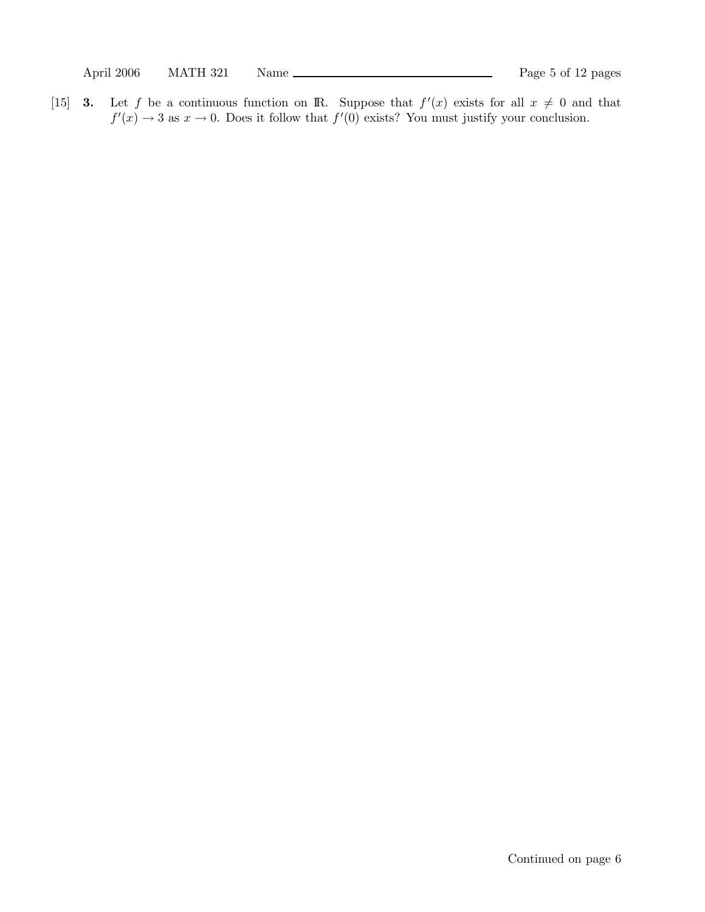[15] **3.** Let f be a continuous function on **R**. Suppose that  $f'(x)$  exists for all  $x \neq 0$  and that  $f'(x) \to 3$  as  $x \to 0$ . Does it follow that  $f'(0)$  exists? You must justify your conclusion.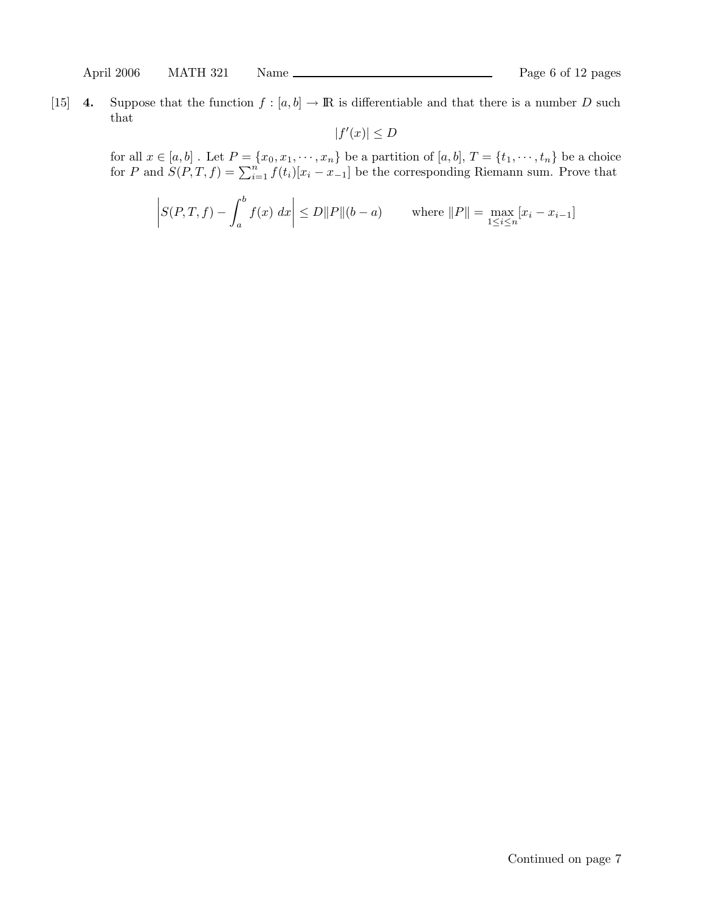April 2006 MATH 321 Name Page 6 of 12 pages

[15] 4. Suppose that the function  $f : [a, b] \to \mathbb{R}$  is differentiable and that there is a number D such that

$$
|f'(x)| \le D
$$

for all  $x \in [a, b]$  . Let  $P = \{x_0, x_1, \dots, x_n\}$  be a partition of  $[a, b]$ ,  $T = \{t_1, \dots, t_n\}$  be a choice for P and  $S(P,T,f) = \sum_{i=1}^{n} f(t_i)[x_i - x_{-1}]$  be the corresponding Riemann sum. Prove that

$$
\left| S(P, T, f) - \int_{a}^{b} f(x) \, dx \right| \le D \|P\| (b - a) \quad \text{where } \|P\| = \max_{1 \le i \le n} [x_i - x_{i-1}]
$$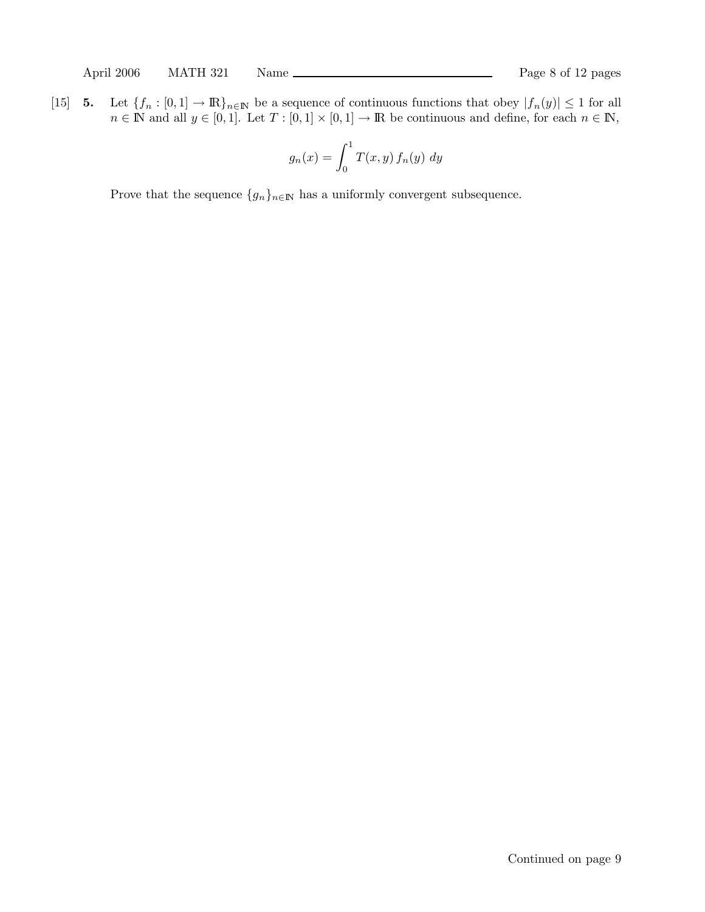[15] 5. Let  $\{f_n : [0,1] \to \mathbb{R}\}_{n \in \mathbb{N}}$  be a sequence of continuous functions that obey  $|f_n(y)| \leq 1$  for all  $n \in \mathbb{N}$  and all  $y \in [0,1]$ . Let  $T : [0,1] \times [0,1] \to \mathbb{R}$  be continuous and define, for each  $n \in \mathbb{N}$ ,

$$
g_n(x) = \int_0^1 T(x, y) f_n(y) dy
$$

Prove that the sequence  $\{g_n\}_{n\in\mathbb{N}}$  has a uniformly convergent subsequence.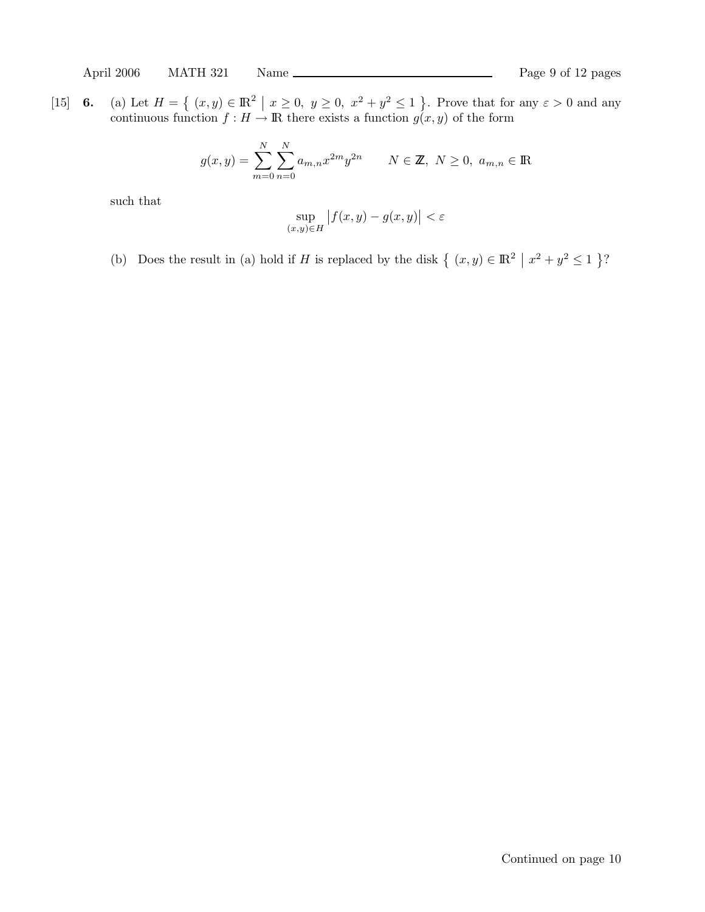[15] **6.** (a) Let  $H = \left\{ (x, y) \in \mathbb{R}^2 \mid x \ge 0, y \ge 0, x^2 + y^2 \le 1 \right\}$ . Prove that for any  $\varepsilon > 0$  and any continuous function  $f : H \to \mathbb{R}$  there exists a function  $g(x, y)$  of the form

$$
g(x,y) = \sum_{m=0}^{N} \sum_{n=0}^{N} a_{m,n} x^{2m} y^{2n} \qquad N \in \mathbb{Z}, N \ge 0, a_{m,n} \in \mathbb{R}
$$

such that

$$
\sup_{(x,y)\in H} |f(x,y) - g(x,y)| < \varepsilon
$$

(b) Does the result in (a) hold if H is replaced by the disk  $\{(x, y) \in \mathbb{R}^2 \mid x^2 + y^2 \le 1\}$ ?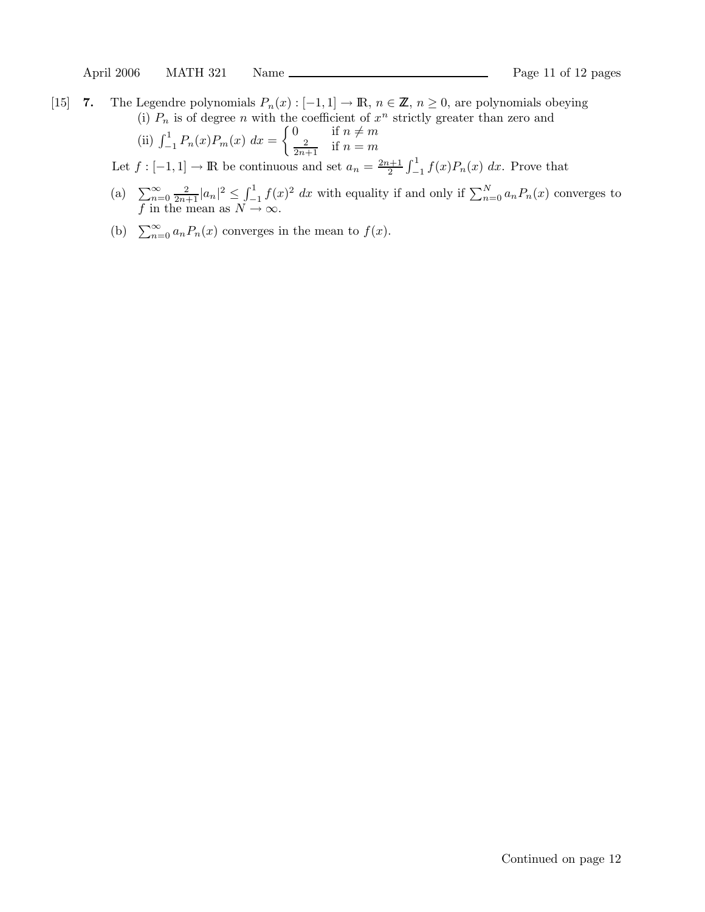$\left($ 

[15] 7. The Legendre polynomials  $P_n(x): [-1,1] \to \mathbb{R}$ ,  $n \in \mathbb{Z}$ ,  $n \ge 0$ , are polynomials obeying (i)  $P_n$  is of degree n with the coefficient of  $x^n$  strictly greater than zero and

ii) 
$$
\int_{-1}^{1} P_n(x) P_m(x) dx = \begin{cases} 0 & \text{if } n \neq m \\ \frac{2}{2n+1} & \text{if } n = m \end{cases}
$$

Let  $f: [-1,1] \to \mathbb{R}$  be continuous and set  $a_n = \frac{2n+1}{2}$  $\int_{2}^{\infty} \int_{-1}^{1} f(x) P_n(x) dx$ . Prove that

- (a)  $\sum_{n=0}^{\infty} \frac{2}{2n+1} |a_n|^2 \leq \int_{-1}^{1} f(x)^2 dx$  with equality if and only if  $\sum_{n=0}^{N} a_n P_n(x)$  converges to f in the mean as  $N \to \infty$ .
- (b)  $\sum_{n=0}^{\infty} a_n P_n(x)$  converges in the mean to  $f(x)$ .